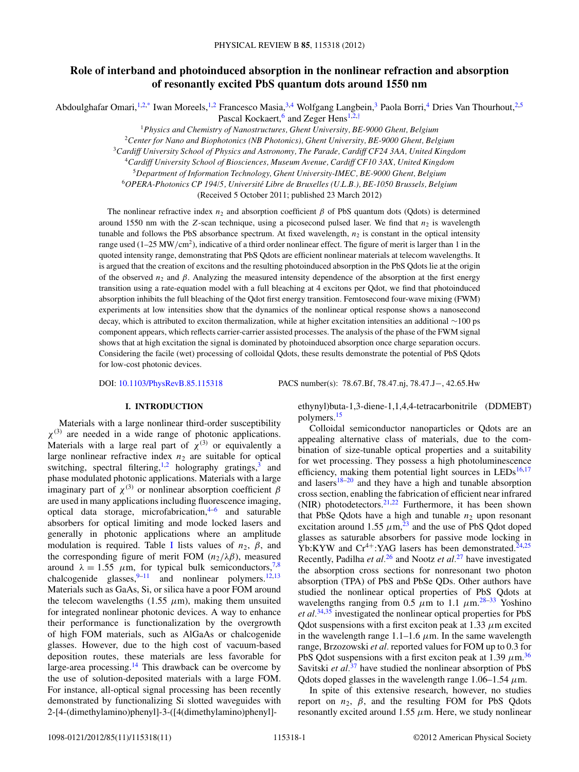# **Role of interband and photoinduced absorption in the nonlinear refraction and absorption of resonantly excited PbS quantum dots around 1550 nm**

Abdoulghafar Omari,<sup>1,2[,\\*](#page-8-0)</sup> Iwan Moreels,<sup>1,2</sup> Francesco Masia,<sup>3,4</sup> Wolfgang Langbein,<sup>3</sup> Paola Borri,<sup>4</sup> Dries Van Thourhout,<sup>2,5</sup>

Pascal Kockaert,<sup>6</sup> and Zeger Hens<sup>1,2,[†](#page-8-0)</sup>

<sup>1</sup>*Physics and Chemistry of Nanostructures, Ghent University, BE-9000 Ghent, Belgium*

<sup>2</sup>*Center for Nano and Biophotonics (NB Photonics), Ghent University, BE-9000 Ghent, Belgium*

<sup>3</sup>*Cardiff University School of Physics and Astronomy, The Parade, Cardiff CF24 3AA, United Kingdom*

<sup>4</sup>*Cardiff University School of Biosciences, Museum Avenue, Cardiff CF10 3AX, United Kingdom*

<sup>5</sup>*Department of Information Technology, Ghent University-IMEC, BE-9000 Ghent, Belgium*

<sup>6</sup>*OPERA-Photonics CP 194/5, Universite Libre de Bruxelles (U.L.B.), BE-1050 Brussels, Belgium ´*

(Received 5 October 2011; published 23 March 2012)

The nonlinear refractive index  $n_2$  and absorption coefficient  $\beta$  of PbS quantum dots (Qdots) is determined around 1550 nm with the  $Z$ -scan technique, using a picosecond pulsed laser. We find that  $n_2$  is wavelength tunable and follows the PbS absorbance spectrum. At fixed wavelength,  $n_2$  is constant in the optical intensity range used (1–25 MW/cm<sup>2</sup>), indicative of a third order nonlinear effect. The figure of merit is larger than 1 in the quoted intensity range, demonstrating that PbS Qdots are efficient nonlinear materials at telecom wavelengths. It is argued that the creation of excitons and the resulting photoinduced absorption in the PbS Qdots lie at the origin of the observed  $n_2$  and  $\beta$ . Analyzing the measured intensity dependence of the absorption at the first energy transition using a rate-equation model with a full bleaching at 4 excitons per Qdot, we find that photoinduced absorption inhibits the full bleaching of the Qdot first energy transition. Femtosecond four-wave mixing (FWM) experiments at low intensities show that the dynamics of the nonlinear optical response shows a nanosecond decay, which is attributed to exciton thermalization, while at higher excitation intensities an additional ∼100 ps component appears, which reflects carrier-carrier assisted processes. The analysis of the phase of the FWM signal shows that at high excitation the signal is dominated by photoinduced absorption once charge separation occurs. Considering the facile (wet) processing of colloidal Qdots, these results demonstrate the potential of PbS Qdots for low-cost photonic devices.

DOI: [10.1103/PhysRevB.85.115318](http://dx.doi.org/10.1103/PhysRevB.85.115318) PACS number(s): 78*.*67*.*Bf, 78*.*47*.*nj, 78*.*47*.*J−, 42*.*65*.*Hw

# **I. INTRODUCTION**

Materials with a large nonlinear third-order susceptibility  $\chi^{(3)}$  are needed in a wide range of photonic applications. Materials with a large real part of  $\chi^{(3)}$  or equivalently a large nonlinear refractive index  $n_2$  are suitable for optical switching, spectral filtering,<sup>[1,2](#page-8-0)</sup> holography gratings,<sup>[3](#page-8-0)</sup> and phase modulated photonic applications. Materials with a large imaginary part of  $\chi$ <sup>(3)</sup> or nonlinear absorption coefficient *β* are used in many applications including fluorescence imaging, optical data storage, microfabrication, $4-6$  and saturable absorbers for optical limiting and mode locked lasers and generally in photonic applications where an amplitude modulation is required. Table [I](#page-1-0) lists values of  $n_2$ ,  $\beta$ , and the corresponding figure of merit FOM  $(n_2/\lambda\beta)$ , measured around  $\lambda = 1.55$   $\mu$ m, for typical bulk semiconductors,<sup>7,8</sup> chalcogenide glasses,  $9-11$  and nonlinear polymers.<sup>12,13</sup> Materials such as GaAs, Si, or silica have a poor FOM around the telecom wavelengths  $(1.55 \mu m)$ , making them unsuited for integrated nonlinear photonic devices. A way to enhance their performance is functionalization by the overgrowth of high FOM materials, such as AlGaAs or chalcogenide glasses. However, due to the high cost of vacuum-based deposition routes, these materials are less favorable for large-area processing.[14](#page-9-0) This drawback can be overcome by the use of solution-deposited materials with a large FOM. For instance, all-optical signal processing has been recently demonstrated by functionalizing Si slotted waveguides with 2-[4-(dimethylamino)phenyl]-3-([4(dimethylamino)phenyl]-

ethynyl)buta-1,3-diene-1,1,4,4-tetracarbonitrile (DDMEBT) polymers[.15](#page-9-0)

Colloidal semiconductor nanoparticles or Qdots are an appealing alternative class of materials, due to the combination of size-tunable optical properties and a suitability for wet processing. They possess a high photoluminescence efficiency, making them potential light sources in  $LEDs<sup>16,17</sup>$  $LEDs<sup>16,17</sup>$  $LEDs<sup>16,17</sup>$ and lasers $18-20$  and they have a high and tunable absorption cross section, enabling the fabrication of efficient near infrared (NIR) photodetectors.  $2^{1,22}$  Furthermore, it has been shown that PbSe Qdots have a high and tunable  $n_2$  upon resonant excitation around 1.55  $\mu$ m,<sup>[23](#page-9-0)</sup> and the use of PbS Qdot doped glasses as saturable absorbers for passive mode locking in Yb:KYW and  $Cr^{4+}$ :YAG lasers has been demonstrated.<sup>[24,25](#page-9-0)</sup> Recently, Padilha *et al.*[26](#page-9-0) and Nootz *et al.*[27](#page-9-0) have investigated the absorption cross sections for nonresonant two photon absorption (TPA) of PbS and PbSe QDs. Other authors have studied the nonlinear optical properties of PbS Qdots at wavelengths ranging from 0.5  $\mu$ m to 1.1  $\mu$ m.<sup>[28–33](#page-9-0)</sup> Yoshino *et al.*[34,35](#page-9-0) investigated the nonlinear optical properties for PbS Qdot suspensions with a first exciton peak at 1.33 *μ*m excited in the wavelength range  $1.1-1.6 \mu m$ . In the same wavelength range, Brzozowski *et al.* reported values for FOM up to 0.3 for PbS Qdot suspensions with a first exciton peak at 1.39  $\mu$ m.<sup>36</sup> Savitski *et al.*<sup>[37](#page-9-0)</sup> have studied the nonlinear absorption of PbS Qdots doped glasses in the wavelength range  $1.06-1.54 \mu$ m.

In spite of this extensive research, however, no studies report on  $n_2$ ,  $\beta$ , and the resulting FOM for PbS Qdots resonantly excited around 1.55  $\mu$ m. Here, we study nonlinear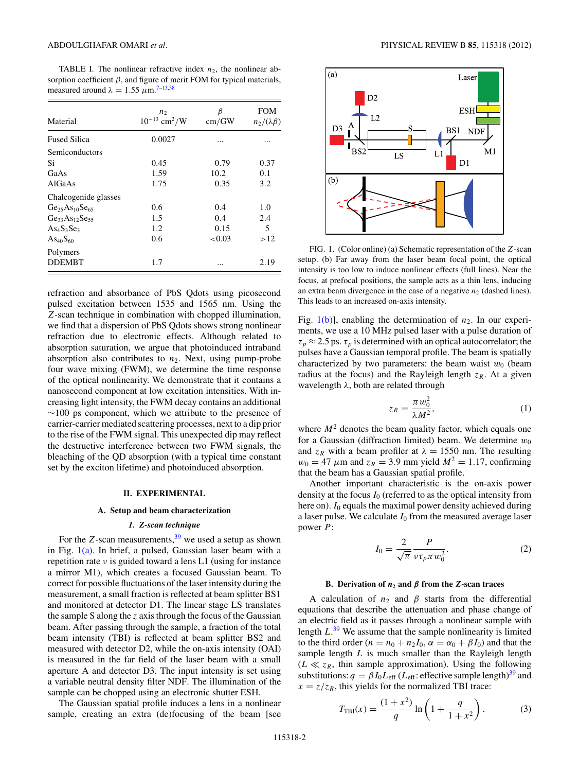<span id="page-1-0"></span>TABLE I. The nonlinear refractive index  $n_2$ , the nonlinear absorption coefficient  $\beta$ , and figure of merit FOM for typical materials, measured around  $\lambda = 1.55 \ \mu \text{m}^{7-13,38}$ 

| Material                | n <sub>2</sub><br>$10^{-13}$ cm <sup>2</sup> /W | β<br>cm/GW | <b>FOM</b><br>$n_2/(\lambda\beta)$ |
|-------------------------|-------------------------------------------------|------------|------------------------------------|
| <b>Fused Silica</b>     | 0.0027                                          |            |                                    |
| Semiconductors          |                                                 |            |                                    |
| Si                      | 0.45                                            | 0.79       | 0.37                               |
| GaAs                    | 1.59                                            | 10.2       | 0.1                                |
| <b>AlGaAs</b>           | 1.75                                            | 0.35       | 3.2                                |
| Chalcogenide glasses    |                                                 |            |                                    |
| $Ge25 As10 Se65$        | 0.6                                             | 0.4        | 1.0                                |
| $Ge_{33}As_{12}Se_{55}$ | 1.5                                             | 0.4        | 2.4                                |
| $As4S3Se3$              | 1.2                                             | 0.15       | 5                                  |
| $As_{40}S_{60}$         | 0.6                                             | < 0.03     | >12                                |
| Polymers                |                                                 |            |                                    |
| <b>DDEMBT</b>           | 1.7                                             |            | 2.19                               |

refraction and absorbance of PbS Qdots using picosecond pulsed excitation between 1535 and 1565 nm. Using the *Z*-scan technique in combination with chopped illumination, we find that a dispersion of PbS Qdots shows strong nonlinear refraction due to electronic effects. Although related to absorption saturation, we argue that photoinduced intraband absorption also contributes to  $n_2$ . Next, using pump-probe four wave mixing (FWM), we determine the time response of the optical nonlinearity. We demonstrate that it contains a nanosecond component at low excitation intensities. With increasing light intensity, the FWM decay contains an additional  $∼100$  ps component, which we attribute to the presence of carrier-carrier mediated scattering processes, next to a dip prior to the rise of the FWM signal. This unexpected dip may reflect the destructive interference between two FWM signals, the bleaching of the QD absorption (with a typical time constant set by the exciton lifetime) and photoinduced absorption.

#### **II. EXPERIMENTAL**

#### **A. Setup and beam characterization**

# *1. Z-scan technique*

For the  $Z$ -scan measurements,  $39$  we used a setup as shown in Fig. 1(a). In brief, a pulsed, Gaussian laser beam with a repetition rate *ν* is guided toward a lens L1 (using for instance a mirror M1), which creates a focused Gaussian beam. To correct for possible fluctuations of the laser intensity during the measurement, a small fraction is reflected at beam splitter BS1 and monitored at detector D1. The linear stage LS translates the sample S along the *z* axis through the focus of the Gaussian beam. After passing through the sample, a fraction of the total beam intensity (TBI) is reflected at beam splitter BS2 and measured with detector D2, while the on-axis intensity (OAI) is measured in the far field of the laser beam with a small aperture A and detector D3. The input intensity is set using a variable neutral density filter NDF. The illumination of the sample can be chopped using an electronic shutter ESH.

The Gaussian spatial profile induces a lens in a nonlinear sample, creating an extra (de)focusing of the beam [see



FIG. 1. (Color online) (a) Schematic representation of the *Z*-scan setup. (b) Far away from the laser beam focal point, the optical intensity is too low to induce nonlinear effects (full lines). Near the focus, at prefocal positions, the sample acts as a thin lens, inducing an extra beam divergence in the case of a negative  $n_2$  (dashed lines). This leads to an increased on-axis intensity.

Fig.  $1(b)$ ], enabling the determination of  $n_2$ . In our experiments, we use a 10 MHz pulsed laser with a pulse duration of  $\tau_p \approx 2.5$  ps.  $\tau_p$  is determined with an optical autocorrelator; the pulses have a Gaussian temporal profile. The beam is spatially characterized by two parameters: the beam waist  $w_0$  (beam radius at the focus) and the Rayleigh length  $z_R$ . At a given wavelength *λ*, both are related through

$$
z_R = \frac{\pi w_0^2}{\lambda M^2},\tag{1}
$$

where  $M<sup>2</sup>$  denotes the beam quality factor, which equals one for a Gaussian (diffraction limited) beam. We determine  $w_0$ and  $z_R$  with a beam profiler at  $\lambda = 1550$  nm. The resulting  $w_0 = 47 \ \mu \text{m}$  and  $z_R = 3.9 \ \text{mm}$  yield  $M^2 = 1.17$ , confirming that the beam has a Gaussian spatial profile.

Another important characteristic is the on-axis power density at the focus *I*<sup>0</sup> (referred to as the optical intensity from here on). *I*<sub>0</sub> equals the maximal power density achieved during a laser pulse. We calculate  $I_0$  from the measured average laser power *P*:

$$
I_0 = \frac{2}{\sqrt{\pi}} \frac{P}{\nu \tau_p \pi w_0^2}.
$$
 (2)

# **B.** Derivation of  $n_2$  and  $\beta$  from the *Z*-scan traces

A calculation of  $n_2$  and  $\beta$  starts from the differential equations that describe the attenuation and phase change of an electric field as it passes through a nonlinear sample with length *L*. [39](#page-9-0) We assume that the sample nonlinearity is limited to the third order  $(n = n_0 + n_2I_0, \alpha = \alpha_0 + \beta I_0)$  and that the sample length *L* is much smaller than the Rayleigh length  $(L \ll z_R$ , thin sample approximation). Using the following substitutions:  $q = \beta I_0 L_{\text{eff}}$  (*L*<sub>eff</sub>: effective sample length)<sup>39</sup> and  $x = z/z_R$ , this yields for the normalized TBI trace:

$$
T_{\text{TBI}}(x) = \frac{(1+x^2)}{q} \ln\left(1 + \frac{q}{1+x^2}\right). \tag{3}
$$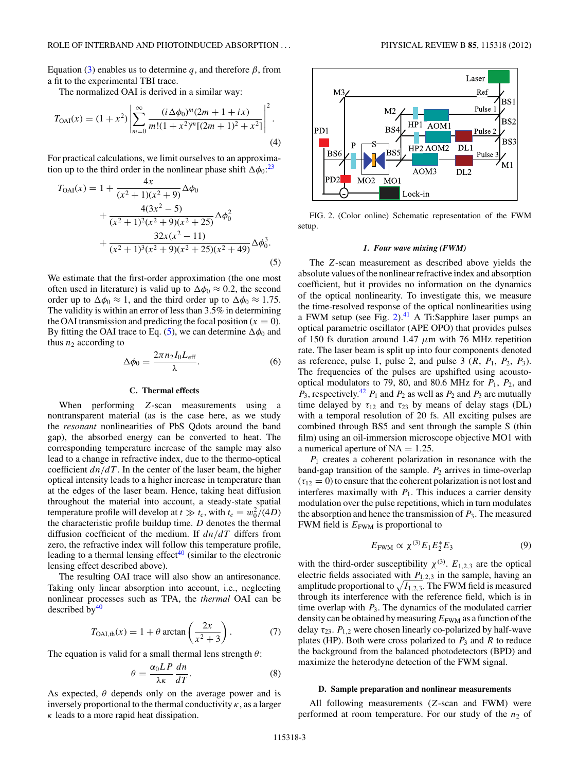<span id="page-2-0"></span>Equation [\(3\)](#page-1-0) enables us to determine *q*, and therefore  $\beta$ , from a fit to the experimental TBI trace.

The normalized OAI is derived in a similar way:

$$
T_{\text{OAI}}(x) = (1+x^2) \left| \sum_{m=0}^{\infty} \frac{(i \Delta \phi_0)^m (2m+1+ix)}{m!(1+x^2)^m [(2m+1)^2+x^2]} \right|^2.
$$
\n(4)

For practical calculations, we limit ourselves to an approximation up to the third order in the nonlinear phase shift  $\Delta \phi_0$ <sup>[23](#page-9-0)</sup>

$$
T_{\text{OAI}}(x) = 1 + \frac{4x}{(x^2 + 1)(x^2 + 9)} \Delta \phi_0
$$
  
+ 
$$
\frac{4(3x^2 - 5)}{(x^2 + 1)^2(x^2 + 9)(x^2 + 25)} \Delta \phi_0^2
$$
  
+ 
$$
\frac{32x(x^2 - 11)}{(x^2 + 1)^3(x^2 + 9)(x^2 + 25)(x^2 + 49)} \Delta \phi_0^3.
$$
  
(5)

We estimate that the first-order approximation (the one most often used in literature) is valid up to  $\Delta\phi_0 \approx 0.2$ , the second order up to  $\Delta\phi_0 \approx 1$ , and the third order up to  $\Delta\phi_0 \approx 1.75$ . The validity is within an error of less than 3.5% in determining the OAI transmission and predicting the focal position  $(x = 0)$ . By fitting the OAI trace to Eq. (5), we can determine  $\Delta\phi_0$  and thus  $n_2$  according to

$$
\Delta \phi_0 = \frac{2\pi n_2 I_0 L_{\text{eff}}}{\lambda}.
$$
 (6)

# **C. Thermal effects**

When performing *Z*-scan measurements using a nontransparent material (as is the case here, as we study the *resonant* nonlinearities of PbS Qdots around the band gap), the absorbed energy can be converted to heat. The corresponding temperature increase of the sample may also lead to a change in refractive index, due to the thermo-optical coefficient  $dn/dT$ . In the center of the laser beam, the higher optical intensity leads to a higher increase in temperature than at the edges of the laser beam. Hence, taking heat diffusion throughout the material into account, a steady-state spatial temperature profile will develop at  $t \gg t_c$ , with  $t_c = w_0^2/(4D)$ the characteristic profile buildup time. *D* denotes the thermal diffusion coefficient of the medium. If *dn/dT* differs from zero, the refractive index will follow this temperature profile, leading to a thermal lensing effect<sup>40</sup> (similar to the electronic lensing effect described above).

The resulting OAI trace will also show an antiresonance. Taking only linear absorption into account, i.e., neglecting nonlinear processes such as TPA, the *thermal* OAI can be described by $40$ 

$$
T_{\text{OAI},\text{th}}(x) = 1 + \theta \arctan\left(\frac{2x}{x^2 + 3}\right). \tag{7}
$$

The equation is valid for a small thermal lens strength *θ*:

$$
\theta = \frac{\alpha_0 LP}{\lambda \kappa} \frac{dn}{dT}.
$$
\n(8)

As expected,  $\theta$  depends only on the average power and is inversely proportional to the thermal conductivity  $\kappa$ , as a larger *κ* leads to a more rapid heat dissipation.



FIG. 2. (Color online) Schematic representation of the FWM setup.

#### *1. Four wave mixing (FWM)*

The *Z*-scan measurement as described above yields the absolute values of the nonlinear refractive index and absorption coefficient, but it provides no information on the dynamics of the optical nonlinearity. To investigate this, we measure the time-resolved response of the optical nonlinearities using a FWM setup (see Fig.  $2$ ).<sup>[41](#page-9-0)</sup> A Ti:Sapphire laser pumps an optical parametric oscillator (APE OPO) that provides pulses of 150 fs duration around 1.47 *μ*m with 76 MHz repetition rate. The laser beam is split up into four components denoted as reference, pulse 1, pulse 2, and pulse 3  $(R, P_1, P_2, P_3)$ . The frequencies of the pulses are upshifted using acoustooptical modulators to 79, 80, and 80.6 MHz for  $P_1$ ,  $P_2$ , and  $P_3$ , respectively.<sup>[42](#page-9-0)</sup>  $P_1$  and  $P_2$  as well as  $P_2$  and  $P_3$  are mutually time delayed by  $\tau_{12}$  and  $\tau_{23}$  by means of delay stags (DL) with a temporal resolution of 20 fs. All exciting pulses are combined through BS5 and sent through the sample S (thin film) using an oil-immersion microscope objective MO1 with a numerical aperture of NA = 1*.*25.

*P*<sup>1</sup> creates a coherent polarization in resonance with the band-gap transition of the sample.  $P_2$  arrives in time-overlap  $(\tau_{12} = 0)$  to ensure that the coherent polarization is not lost and interferes maximally with  $P_1$ . This induces a carrier density modulation over the pulse repetitions, which in turn modulates the absorption and hence the transmission of  $P_3$ . The measured FWM field is  $E_{\text{FWM}}$  is proportional to

$$
E_{\text{FWM}} \propto \chi^{(3)} E_1 E_2^* E_3 \tag{9}
$$

with the third-order susceptibility  $\chi^{(3)}$ .  $E_{1,2,3}$  are the optical electric fields associated with  $P_{1,2,3}$  in the sample, having an amplitude proportional to  $\sqrt{I_{1,2,3}}$ . The FWM field is measured through its interference with the reference field, which is in time overlap with  $P_3$ . The dynamics of the modulated carrier density can be obtained by measuring  $E_{\text{FWM}}$  as a function of the delay  $\tau_{23}$ .  $P_{1,2}$  were chosen linearly co-polarized by half-wave plates (HP). Both were cross polarized to  $P_3$  and  $R$  to reduce the background from the balanced photodetectors (BPD) and maximize the heterodyne detection of the FWM signal.

#### **D. Sample preparation and nonlinear measurements**

All following measurements (*Z*-scan and FWM) were performed at room temperature. For our study of the  $n_2$  of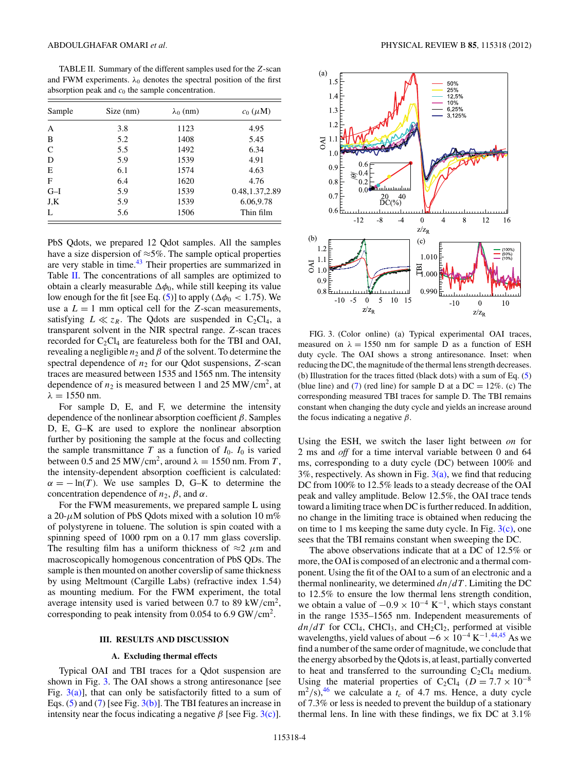<span id="page-3-0"></span>TABLE II. Summary of the different samples used for the *Z*-scan and FWM experiments.  $\lambda_0$  denotes the spectral position of the first absorption peak and *c*<sup>0</sup> the sample concentration.

| Sample | Size (nm) | $\lambda_0$ (nm) | $c_0$ ( $\mu$ M) |
|--------|-----------|------------------|------------------|
| A      | 3.8       | 1123             | 4.95             |
| B      | 5.2       | 1408             | 5.45             |
| C      | 5.5       | 1492             | 6.34             |
| D      | 5.9       | 1539             | 4.91             |
| E      | 6.1       | 1574             | 4.63             |
| F      | 6.4       | 1620             | 4.76             |
| $G-I$  | 5.9       | 1539             | 0.48, 1.37, 2.89 |
| J,K    | 5.9       | 1539             | 6.06, 9.78       |
| L      | 5.6       | 1506             | Thin film        |

PbS Qdots, we prepared 12 Qdot samples. All the samples have a size dispersion of  $\approx$ 5%. The sample optical properties are very stable in time.<sup>[43](#page-9-0)</sup> Their properties are summarized in Table II. The concentrations of all samples are optimized to obtain a clearly measurable  $\Delta\phi_0$ , while still keeping its value low enough for the fit [see Eq. [\(5\)](#page-2-0)] to apply ( $\Delta\phi_0 < 1.75$ ). We use a  $L = 1$  mm optical cell for the *Z*-scan measurements, satisfying  $L \ll z_R$ . The Qdots are suspended in C<sub>2</sub>Cl<sub>4</sub>, a transparent solvent in the NIR spectral range. *Z*-scan traces recorded for  $C_2Cl_4$  are featureless both for the TBI and OAI, revealing a negligible  $n_2$  and  $\beta$  of the solvent. To determine the spectral dependence of *n*<sup>2</sup> for our Qdot suspensions, *Z*-scan traces are measured between 1535 and 1565 nm. The intensity dependence of  $n_2$  is measured between 1 and 25 MW/cm<sup>2</sup>, at  $λ = 1550$  nm.

For sample D, E, and F, we determine the intensity dependence of the nonlinear absorption coefficient *β*. Samples D, E, G–K are used to explore the nonlinear absorption further by positioning the sample at the focus and collecting the sample transmittance *T* as a function of  $I_0$ .  $I_0$  is varied between 0.5 and 25 MW/cm<sup>2</sup>, around  $\lambda = 1550$  nm. From *T*, the intensity-dependent absorption coefficient is calculated:  $\alpha = -\ln(T)$ . We use samples D, G–K to determine the concentration dependence of  $n_2$ ,  $\beta$ , and  $\alpha$ .

For the FWM measurements, we prepared sample L using a 20-*μ*M solution of PbS Qdots mixed with a solution 10 m% of polystyrene in toluene. The solution is spin coated with a spinning speed of 1000 rpm on a 0.17 mm glass coverslip. The resulting film has a uniform thickness of  $\approx$ 2  $\mu$ m and macroscopically homogenous concentration of PbS QDs. The sample is then mounted on another coverslip of same thickness by using Meltmount (Cargille Labs) (refractive index 1.54) as mounting medium. For the FWM experiment, the total average intensity used is varied between 0.7 to 89 kW*/*cm2, corresponding to peak intensity from 0.054 to 6.9 GW*/*cm2.

#### **III. RESULTS AND DISCUSSION**

# **A. Excluding thermal effects**

Typical OAI and TBI traces for a Qdot suspension are shown in Fig. 3. The OAI shows a strong antiresonance [see Fig.  $3(a)$ ], that can only be satisfactorily fitted to a sum of Eqs.  $(5)$  and  $(7)$  [see Fig.  $3(b)$ ]. The TBI features an increase in intensity near the focus indicating a negative  $\beta$  [see Fig. 3(c)].



FIG. 3. (Color online) (a) Typical experimental OAI traces, measured on  $\lambda = 1550$  nm for sample D as a function of ESH duty cycle. The OAI shows a strong antiresonance. Inset: when reducing the DC, the magnitude of the thermal lens strength decreases. (b) Illustration for the traces fitted (black dots) with a sum of Eq. [\(5\)](#page-2-0) (blue line) and [\(7\)](#page-2-0) (red line) for sample D at a  $DC = 12\%$ . (c) The corresponding measured TBI traces for sample D. The TBI remains constant when changing the duty cycle and yields an increase around the focus indicating a negative *β*.

Using the ESH, we switch the laser light between *on* for 2 ms and *off* for a time interval variable between 0 and 64 ms, corresponding to a duty cycle (DC) between 100% and  $3\%$ , respectively. As shown in Fig.  $3(a)$ , we find that reducing DC from 100% to 12*.*5% leads to a steady decrease of the OAI peak and valley amplitude. Below 12*.*5%, the OAI trace tends toward a limiting trace when DC is further reduced. In addition, no change in the limiting trace is obtained when reducing the on time to 1 ms keeping the same duty cycle. In Fig.  $3(c)$ , one sees that the TBI remains constant when sweeping the DC.

The above observations indicate that at a DC of 12.5% or more, the OAI is composed of an electronic and a thermal component. Using the fit of the OAI to a sum of an electronic and a thermal nonlinearity, we determined *dn/dT* . Limiting the DC to 12*.*5% to ensure the low thermal lens strength condition, we obtain a value of  $-0.9 \times 10^{-4}$  K<sup>-1</sup>, which stays constant in the range 1535–1565 nm. Independent measurements of  $dn/dT$  for CCl<sub>4</sub>, CHCl<sub>3</sub>, and CH<sub>2</sub>Cl<sub>2</sub>, performed at visible wavelengths, yield values of about  $-6 \times 10^{-4}$  K<sup>-1</sup>.<sup>[44,45](#page-9-0)</sup> As we find a number of the same order of magnitude, we conclude that the energy absorbed by the Qdots is, at least, partially converted to heat and transferred to the surrounding  $C_2Cl_4$  medium. Using the material properties of  $C_2Cl_4$  ( $D = 7.7 \times 10^{-8}$ )  $\text{m}^2/\text{s}$ ,<sup>[46](#page-9-0)</sup> we calculate a  $t_c$  of 4.7 ms. Hence, a duty cycle of 7.3% or less is needed to prevent the buildup of a stationary thermal lens. In line with these findings, we fix DC at 3.1%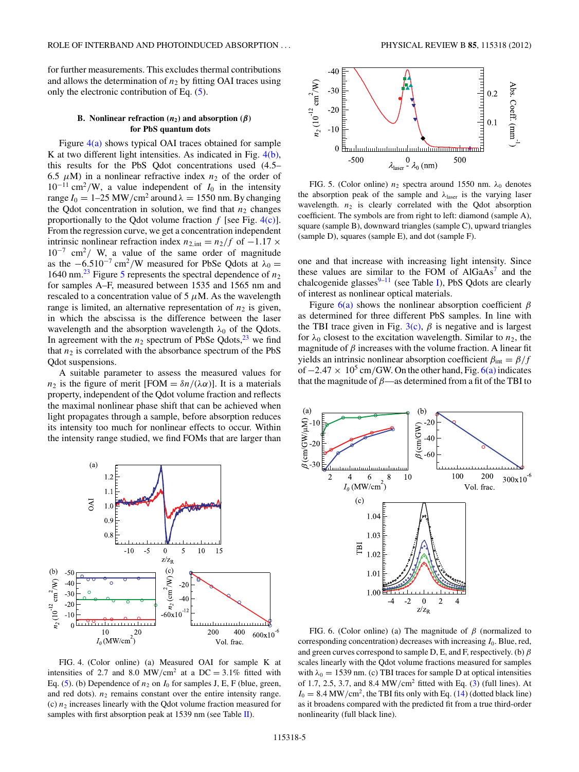<span id="page-4-0"></span>for further measurements. This excludes thermal contributions and allows the determination of  $n_2$  by fitting OAI traces using only the electronic contribution of Eq. [\(5\)](#page-2-0).

### **B.** Nonlinear refraction  $(n_2)$  and absorption  $(\beta)$ **for PbS quantum dots**

Figure 4(a) shows typical OAI traces obtained for sample K at two different light intensities. As indicated in Fig. 4(b), this results for the PbS Qdot concentrations used (4.5– 6.5  $\mu$ M) in a nonlinear refractive index  $n_2$  of the order of 10−<sup>11</sup> cm2*/*W, a value independent of *I*<sup>0</sup> in the intensity range  $I_0 = 1-25$  MW/cm<sup>2</sup> around  $\lambda = 1550$  nm. By changing the Qdot concentration in solution, we find that  $n_2$  changes proportionally to the Qdot volume fraction  $f$  [see Fig. 4(c)]. From the regression curve, we get a concentration independent intrinsic nonlinear refraction index  $n_{2, \text{int}} = n_2/f$  of  $-1.17 \times$ 10−<sup>7</sup> cm2*/* W, a value of the same order of magnitude as the  $-6.510^{-7}$  cm<sup>2</sup>/W measured for PbSe Qdots at  $\lambda_0 =$ 1640 nm.<sup>[23](#page-9-0)</sup> Figure 5 represents the spectral dependence of  $n_2$ for samples A–F, measured between 1535 and 1565 nm and rescaled to a concentration value of  $5 \mu M$ . As the wavelength range is limited, an alternative representation of  $n_2$  is given, in which the abscissa is the difference between the laser wavelength and the absorption wavelength  $\lambda_0$  of the Qdots. In agreement with the  $n_2$  spectrum of PbSe Qdots, <sup>23</sup> we find that  $n_2$  is correlated with the absorbance spectrum of the PbS Qdot suspensions.

A suitable parameter to assess the measured values for *n*<sub>2</sub> is the figure of merit [FOM =  $\delta n/(\lambda \alpha)$ ]. It is a materials property, independent of the Qdot volume fraction and reflects the maximal nonlinear phase shift that can be achieved when light propagates through a sample, before absorption reduces its intensity too much for nonlinear effects to occur. Within the intensity range studied, we find FOMs that are larger than



FIG. 4. (Color online) (a) Measured OAI for sample K at intensities of 2.7 and 8.0 MW/cm<sup>2</sup> at a DC = 3.1% fitted with Eq. [\(5\)](#page-2-0). (b) Dependence of  $n_2$  on  $I_0$  for samples J, E, F (blue, green, and red dots).  $n_2$  remains constant over the entire intensity range. (c)  $n_2$  increases linearly with the Qdot volume fraction measured for samples with first absorption peak at 1539 nm (see Table [II\)](#page-3-0).



FIG. 5. (Color online)  $n_2$  spectra around 1550 nm.  $\lambda_0$  denotes the absorption peak of the sample and  $\lambda_{\text{laser}}$  is the varying laser wavelength.  $n_2$  is clearly correlated with the Qdot absorption coefficient. The symbols are from right to left: diamond (sample A), square (sample B), downward triangles (sample C), upward triangles (sample D), squares (sample E), and dot (sample F).

one and that increase with increasing light intensity. Since these values are similar to the FOM of  $AIGaAs<sup>7</sup>$  $AIGaAs<sup>7</sup>$  $AIGaAs<sup>7</sup>$  and the chalcogenide glasses $9-11$  (see Table [I\)](#page-1-0), PbS Qdots are clearly of interest as nonlinear optical materials.

Figure 6(a) shows the nonlinear absorption coefficient *β* as determined for three different PbS samples. In line with the TBI trace given in Fig.  $3(c)$ ,  $\beta$  is negative and is largest for  $\lambda_0$  closest to the excitation wavelength. Similar to  $n_2$ , the magnitude of  $\beta$  increases with the volume fraction. A linear fit yields an intrinsic nonlinear absorption coefficient  $\beta_{\text{int}} = \beta/f$ of −2.47 × 10<sup>5</sup> cm/GW. On the other hand, Fig. 6(a) indicates that the magnitude of *β*—as determined from a fit of the TBI to



FIG. 6. (Color online) (a) The magnitude of *β* (normalized to corresponding concentration) decreases with increasing *I*0. Blue, red, and green curves correspond to sample D, E, and F, respectively. (b) *β* scales linearly with the Qdot volume fractions measured for samples with  $\lambda_0 = 1539$  nm. (c) TBI traces for sample D at optical intensities of 1.7, 2.5, 3.7, and 8.4 MW*/*cm2 fitted with Eq. [\(3\)](#page-1-0) (full lines). At  $I_0 = 8.4$  MW/cm<sup>2</sup>, the TBI fits only with Eq. [\(14\)](#page-6-0) (dotted black line) as it broadens compared with the predicted fit from a true third-order nonlinearity (full black line).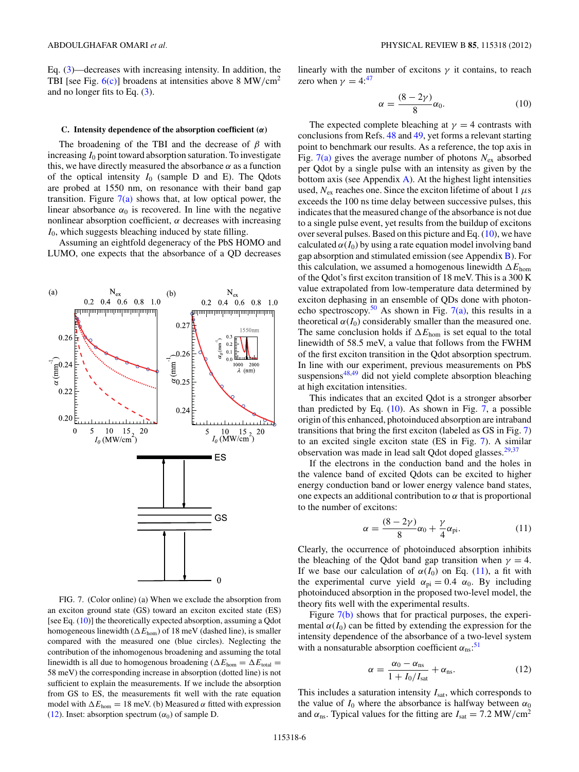<span id="page-5-0"></span>Eq. [\(3\)](#page-1-0)—decreases with increasing intensity. In addition, the TBI [see Fig. [6\(c\)\]](#page-4-0) broadens at intensities above 8 MW*/*cm2 and no longer fits to Eq. [\(3\)](#page-1-0).

#### **C. Intensity dependence of the absorption coefficient (***α***)**

The broadening of the TBI and the decrease of *β* with increasing *I*<sup>0</sup> point toward absorption saturation. To investigate this, we have directly measured the absorbance  $\alpha$  as a function of the optical intensity  $I_0$  (sample D and E). The Qdots are probed at 1550 nm, on resonance with their band gap transition. Figure  $7(a)$  shows that, at low optical power, the linear absorbance  $\alpha_0$  is recovered. In line with the negative nonlinear absorption coefficient,  $\alpha$  decreases with increasing *I*0, which suggests bleaching induced by state filling.

Assuming an eightfold degeneracy of the PbS HOMO and LUMO, one expects that the absorbance of a QD decreases



FIG. 7. (Color online) (a) When we exclude the absorption from an exciton ground state (GS) toward an exciton excited state (ES) [see Eq. (10)] the theoretically expected absorption, assuming a Qdot homogeneous linewidth ( $\Delta E_{\text{hom}}$ ) of 18 meV (dashed line), is smaller compared with the measured one (blue circles). Neglecting the contribution of the inhomogenous broadening and assuming the total linewidth is all due to homogenous broadening ( $\Delta E_{\text{hom}} = \Delta E_{\text{total}} =$ 58 meV) the corresponding increase in absorption (dotted line) is not sufficient to explain the measurements. If we include the absorption from GS to ES, the measurements fit well with the rate equation model with  $\Delta E_{\text{hom}} = 18$  meV. (b) Measured  $\alpha$  fitted with expression (12). Inset: absorption spectrum  $(\alpha_0)$  of sample D.

linearly with the number of excitons  $\gamma$  it contains, to reach zero when  $\gamma = 4$ :<sup>[47](#page-9-0)</sup>

$$
\alpha = \frac{(8-2\gamma)}{8}\alpha_0. \tag{10}
$$

The expected complete bleaching at  $\gamma = 4$  contrasts with conclusions from Refs. [48](#page-9-0) and [49,](#page-9-0) yet forms a relevant starting point to benchmark our results. As a reference, the top axis in Fig.  $7(a)$  gives the average number of photons  $N_{ex}$  absorbed per Qdot by a single pulse with an intensity as given by the bottom axis (see Appendix  $\overline{A}$ ). At the highest light intensities used,  $N_{\text{ex}}$  reaches one. Since the exciton lifetime of about 1  $\mu$ s exceeds the 100 ns time delay between successive pulses, this indicates that the measured change of the absorbance is not due to a single pulse event, yet results from the buildup of excitons over several pulses. Based on this picture and Eq.  $(10)$ , we have calculated  $\alpha(I_0)$  by using a rate equation model involving band gap absorption and stimulated emission (see Appendix [B\)](#page-8-0). For this calculation, we assumed a homogenous linewidth  $\Delta E_{\text{hom}}$ of the Qdot's first exciton transition of 18 meV. This is a 300 K value extrapolated from low-temperature data determined by exciton dephasing in an ensemble of QDs done with photon-echo spectroscopy.<sup>[50](#page-9-0)</sup> As shown in Fig.  $7(a)$ , this results in a theoretical  $\alpha(I_0)$  considerably smaller than the measured one. The same conclusion holds if  $\Delta E_{\text{hom}}$  is set equal to the total linewidth of 58.5 meV, a value that follows from the FWHM of the first exciton transition in the Qdot absorption spectrum. In line with our experiment, previous measurements on PbS suspensions $48,49$  did not yield complete absorption bleaching at high excitation intensities.

This indicates that an excited Qdot is a stronger absorber than predicted by Eq. (10). As shown in Fig. 7, a possible origin of this enhanced, photoinduced absorption are intraband transitions that bring the first exciton (labeled as GS in Fig. 7) to an excited single exciton state (ES in Fig. 7). A similar observation was made in lead salt Qdot doped glasses.<sup>29,37</sup>

If the electrons in the conduction band and the holes in the valence band of excited Qdots can be excited to higher energy conduction band or lower energy valence band states, one expects an additional contribution to  $\alpha$  that is proportional to the number of excitons:

$$
\alpha = \frac{(8-2\gamma)}{8}\alpha_0 + \frac{\gamma}{4}\alpha_{\text{pi}}.\tag{11}
$$

Clearly, the occurrence of photoinduced absorption inhibits the bleaching of the Qdot band gap transition when  $\gamma = 4$ . If we base our calculation of  $\alpha(I_0)$  on Eq. (11), a fit with the experimental curve yield  $\alpha_{pi} = 0.4 \alpha_0$ . By including photoinduced absorption in the proposed two-level model, the theory fits well with the experimental results.

Figure 7(b) shows that for practical purposes, the experimental  $\alpha(I_0)$  can be fitted by extending the expression for the intensity dependence of the absorbance of a two-level system with a nonsaturable absorption coefficient  $\alpha_{\text{ns}}$ <sup>[51](#page-9-0)</sup>

$$
\alpha = \frac{\alpha_0 - \alpha_{\rm ns}}{1 + I_0/I_{\rm sat}} + \alpha_{\rm ns}.
$$
 (12)

This includes a saturation intensity  $I<sub>sat</sub>$ , which corresponds to the value of  $I_0$  where the absorbance is halfway between  $\alpha_0$ and  $\alpha_{\text{ns}}$ . Typical values for the fitting are  $I_{\text{sat}} = 7.2 \text{ MW/cm}^2$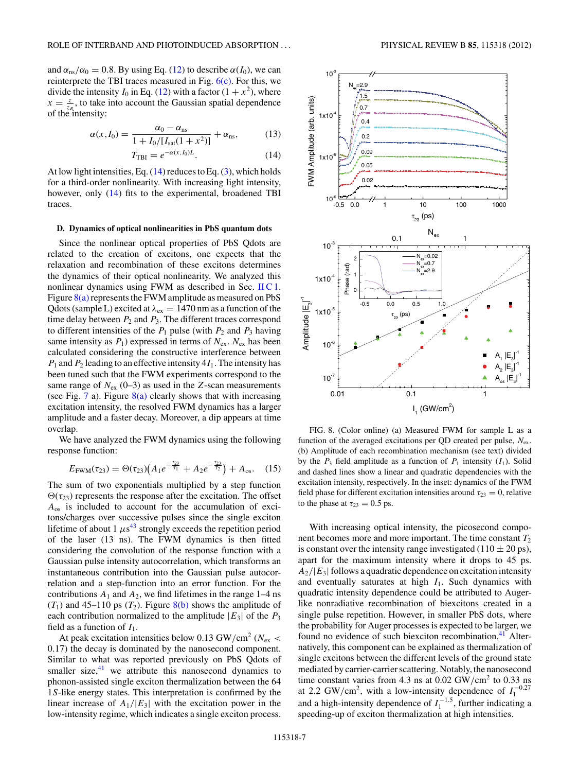<span id="page-6-0"></span>and  $\alpha_{\text{ns}}/\alpha_0 = 0.8$ . By using Eq. [\(12\)](#page-5-0) to describe  $\alpha(I_0)$ , we can reinterprete the TBI traces measured in Fig.  $6(c)$ . For this, we divide the intensity  $I_0$  in Eq. [\(12\)](#page-5-0) with a factor  $(1 + x^2)$ , where  $x = \frac{z}{z_R}$ , to take into account the Gaussian spatial dependence of the intensity:

$$
\alpha(x, I_0) = \frac{\alpha_0 - \alpha_{\rm ns}}{1 + I_0/[I_{\rm sat}(1 + x^2)]} + \alpha_{\rm ns},\tag{13}
$$

$$
T_{\rm TBI} = e^{-\alpha(x, I_0)L}.\tag{14}
$$

At low light intensities, Eq.  $(14)$  reduces to Eq.  $(3)$ , which holds for a third-order nonlinearity. With increasing light intensity, however, only (14) fits to the experimental, broadened TBI traces.

### **D. Dynamics of optical nonlinearities in PbS quantum dots**

Since the nonlinear optical properties of PbS Qdots are related to the creation of excitons, one expects that the relaxation and recombination of these excitons determines the dynamics of their optical nonlinearity. We analyzed this nonlinear dynamics using FWM as described in Sec. [II C 1.](#page-2-0) Figure  $8(a)$  represents the FWM amplitude as measured on PbS Qdots (sample L) excited at *λ*ex = 1470 nm as a function of the time delay between  $P_2$  and  $P_3$ . The different traces correspond to different intensities of the  $P_1$  pulse (with  $P_2$  and  $P_3$  having same intensity as  $P_1$ ) expressed in terms of  $N_{ex}$ .  $N_{ex}$  has been calculated considering the constructive interference between  $P_1$  and  $P_2$  leading to an effective intensity  $4I_1$ . The intensity has been tuned such that the FWM experiments correspond to the same range of  $N_{ex}$  (0–3) as used in the *Z*-scan measurements (see Fig. [7](#page-5-0) a). Figure  $8(a)$  clearly shows that with increasing excitation intensity, the resolved FWM dynamics has a larger amplitude and a faster decay. Moreover, a dip appears at time overlap.

We have analyzed the FWM dynamics using the following response function:

$$
E_{\text{FWM}}(\tau_{23}) = \Theta(\tau_{23}) \left( A_1 e^{-\frac{\tau_{23}}{T_1}} + A_2 e^{-\frac{\tau_{23}}{T_2}} \right) + A_{\text{os}}.
$$
 (15)

The sum of two exponentials multiplied by a step function  $\Theta(\tau_{23})$  represents the response after the excitation. The offset *A*os is included to account for the accumulation of excitons/charges over successive pulses since the single exciton lifetime of about 1  $\mu$ s<sup>[43](#page-9-0)</sup> strongly exceeds the repetition period of the laser (13 ns). The FWM dynamics is then fitted considering the convolution of the response function with a Gaussian pulse intensity autocorrelation, which transforms an instantaneous contribution into the Gaussian pulse autocorrelation and a step-function into an error function. For the contributions  $A_1$  and  $A_2$ , we find lifetimes in the range  $1-4$  ns  $(T_1)$  and 45–110 ps  $(T_2)$ . Figure 8(b) shows the amplitude of each contribution normalized to the amplitude  $|E_3|$  of the  $P_3$ field as a function of  $I_1$ .

At peak excitation intensities below 0.13 GW*/*cm2 (*N*ex *<* 0*.*17) the decay is dominated by the nanosecond component. Similar to what was reported previously on PbS Qdots of smaller size, $41$  we attribute this nanosecond dynamics to phonon-assisted single exciton thermalization between the 64 1*S*-like energy states. This interpretation is confirmed by the linear increase of  $A_1/|E_3|$  with the excitation power in the low-intensity regime, which indicates a single exciton process.



FIG. 8. (Color online) (a) Measured FWM for sample L as a function of the averaged excitations per QD created per pulse,  $N_{ex}$ . (b) Amplitude of each recombination mechanism (see text) divided by the  $P_3$  field amplitude as a function of  $P_1$  intensity  $(I_1)$ . Solid and dashed lines show a linear and quadratic dependencies with the excitation intensity, respectively. In the inset: dynamics of the FWM field phase for different excitation intensities around  $\tau_{23} = 0$ , relative to the phase at  $\tau_{23} = 0.5$  ps.

With increasing optical intensity, the picosecond component becomes more and more important. The time constant  $T_2$ is constant over the intensity range investigated (110  $\pm$  20 ps), apart for the maximum intensity where it drops to 45 ps.  $A_2/|E_3|$  follows a quadratic dependence on excitation intensity and eventually saturates at high *I*1. Such dynamics with quadratic intensity dependence could be attributed to Augerlike nonradiative recombination of biexcitons created in a single pulse repetition. However, in smaller PbS dots, where the probability for Auger processes is expected to be larger, we found no evidence of such biexciton recombination.<sup>41</sup> Alternatively, this component can be explained as thermalization of single excitons between the different levels of the ground state mediated by carrier-carrier scattering. Notably, the nanosecond time constant varies from 4.3 ns at 0.02 GW/cm<sup>2</sup> to 0.33 ns at 2.2 GW/cm<sup>2</sup>, with a low-intensity dependence of  $I_1^{-0.27}$ and a high-intensity dependence of  $I_1^{-1.5}$ , further indicating a speeding-up of exciton thermalization at high intensities.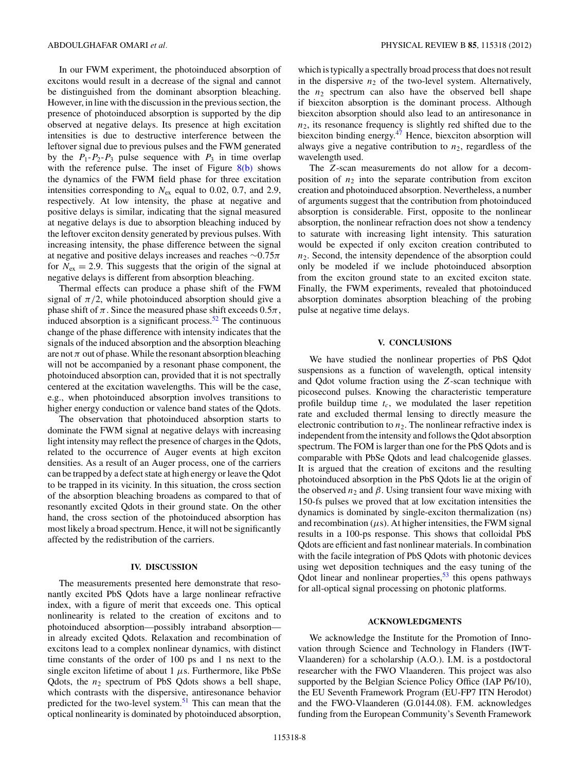In our FWM experiment, the photoinduced absorption of excitons would result in a decrease of the signal and cannot be distinguished from the dominant absorption bleaching. However, in line with the discussion in the previous section, the presence of photoinduced absorption is supported by the dip observed at negative delays. Its presence at high excitation intensities is due to destructive interference between the leftover signal due to previous pulses and the FWM generated by the  $P_1 - P_2 - P_3$  pulse sequence with  $P_3$  in time overlap with the reference pulse. The inset of Figure  $8(b)$  shows the dynamics of the FWM field phase for three excitation intensities corresponding to  $N_{ex}$  equal to 0.02, 0.7, and 2.9, respectively. At low intensity, the phase at negative and positive delays is similar, indicating that the signal measured at negative delays is due to absorption bleaching induced by the leftover exciton density generated by previous pulses. With increasing intensity, the phase difference between the signal at negative and positive delays increases and reaches ∼0*.*75*π* for  $N_{\rm ex} = 2.9$ . This suggests that the origin of the signal at negative delays is different from absorption bleaching.

Thermal effects can produce a phase shift of the FWM signal of  $\pi/2$ , while photoinduced absorption should give a phase shift of  $\pi$ . Since the measured phase shift exceeds  $0.5\pi$ , induced absorption is a significant process. $52$  The continuous change of the phase difference with intensity indicates that the signals of the induced absorption and the absorption bleaching are not  $\pi$  out of phase. While the resonant absorption bleaching will not be accompanied by a resonant phase component, the photoinduced absorption can, provided that it is not spectrally centered at the excitation wavelengths. This will be the case, e.g., when photoinduced absorption involves transitions to higher energy conduction or valence band states of the Qdots.

The observation that photoinduced absorption starts to dominate the FWM signal at negative delays with increasing light intensity may reflect the presence of charges in the Qdots, related to the occurrence of Auger events at high exciton densities. As a result of an Auger process, one of the carriers can be trapped by a defect state at high energy or leave the Qdot to be trapped in its vicinity. In this situation, the cross section of the absorption bleaching broadens as compared to that of resonantly excited Qdots in their ground state. On the other hand, the cross section of the photoinduced absorption has most likely a broad spectrum. Hence, it will not be significantly affected by the redistribution of the carriers.

### **IV. DISCUSSION**

The measurements presented here demonstrate that resonantly excited PbS Qdots have a large nonlinear refractive index, with a figure of merit that exceeds one. This optical nonlinearity is related to the creation of excitons and to photoinduced absorption—possibly intraband absorption in already excited Qdots. Relaxation and recombination of excitons lead to a complex nonlinear dynamics, with distinct time constants of the order of 100 ps and 1 ns next to the single exciton lifetime of about  $1 \mu s$ . Furthermore, like PbSe Qdots, the  $n_2$  spectrum of PbS Qdots shows a bell shape, which contrasts with the dispersive, antiresonance behavior predicted for the two-level system.<sup>[51](#page-9-0)</sup> This can mean that the optical nonlinearity is dominated by photoinduced absorption,

which is typically a spectrally broad process that does not result in the dispersive  $n_2$  of the two-level system. Alternatively, the  $n_2$  spectrum can also have the observed bell shape if biexciton absorption is the dominant process. Although biexciton absorption should also lead to an antiresonance in *n*2, its resonance frequency is slightly red shifted due to the biexciton binding energy.<sup>47</sup> Hence, biexciton absorption will always give a negative contribution to  $n_2$ , regardless of the wavelength used.

The *Z*-scan measurements do not allow for a decomposition of  $n_2$  into the separate contribution from exciton creation and photoinduced absorption. Nevertheless, a number of arguments suggest that the contribution from photoinduced absorption is considerable. First, opposite to the nonlinear absorption, the nonlinear refraction does not show a tendency to saturate with increasing light intensity. This saturation would be expected if only exciton creation contributed to *n*2. Second, the intensity dependence of the absorption could only be modeled if we include photoinduced absorption from the exciton ground state to an excited exciton state. Finally, the FWM experiments, revealed that photoinduced absorption dominates absorption bleaching of the probing pulse at negative time delays.

### **V. CONCLUSIONS**

We have studied the nonlinear properties of PbS Qdot suspensions as a function of wavelength, optical intensity and Qdot volume fraction using the *Z*-scan technique with picosecond pulses. Knowing the characteristic temperature profile buildup time  $t_c$ , we modulated the laser repetition rate and excluded thermal lensing to directly measure the electronic contribution to  $n_2$ . The nonlinear refractive index is independent from the intensity and follows the Qdot absorption spectrum. The FOM is larger than one for the PbS Qdots and is comparable with PbSe Qdots and lead chalcogenide glasses. It is argued that the creation of excitons and the resulting photoinduced absorption in the PbS Qdots lie at the origin of the observed  $n_2$  and  $\beta$ . Using transient four wave mixing with 150-fs pulses we proved that at low excitation intensities the dynamics is dominated by single-exciton thermalization (ns) and recombination  $(\mu s)$ . At higher intensities, the FWM signal results in a 100-ps response. This shows that colloidal PbS Qdots are efficient and fast nonlinear materials. In combination with the facile integration of PbS Qdots with photonic devices using wet deposition techniques and the easy tuning of the Qdot linear and nonlinear properties, $53$  this opens pathways for all-optical signal processing on photonic platforms.

### **ACKNOWLEDGMENTS**

We acknowledge the Institute for the Promotion of Innovation through Science and Technology in Flanders (IWT-Vlaanderen) for a scholarship (A.O.). I.M. is a postdoctoral researcher with the FWO Vlaanderen. This project was also supported by the Belgian Science Policy Office (IAP P6/10), the EU Seventh Framework Program (EU-FP7 ITN Herodot) and the FWO-Vlaanderen (G.0144.08). F.M. acknowledges funding from the European Community's Seventh Framework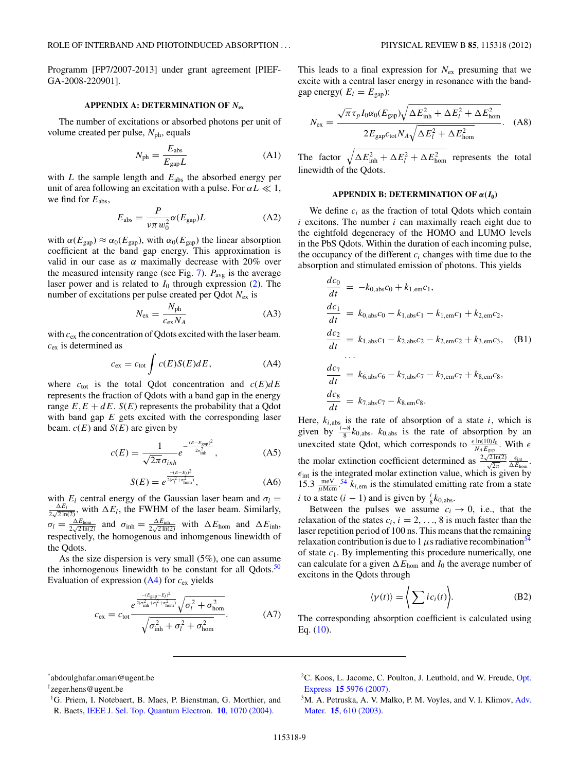<span id="page-8-0"></span>Programm [FP7/2007-2013] under grant agreement [PIEF-GA-2008-220901].

### **APPENDIX A: DETERMINATION OF** *N***ex**

The number of excitations or absorbed photons per unit of volume created per pulse,  $N_{ph}$ , equals

$$
N_{\rm ph} = \frac{E_{\rm abs}}{E_{\rm gap} L} \tag{A1}
$$

with  $L$  the sample length and  $E_{\text{abs}}$  the absorbed energy per unit of area following an excitation with a pulse. For  $\alpha L \ll 1$ , we find for *E*abs,

$$
E_{\rm abs} = \frac{P}{\nu \pi w_0^2} \alpha (E_{\rm gap}) L \tag{A2}
$$

with  $\alpha(E_{\text{gap}}) \approx \alpha_0(E_{\text{gap}})$ , with  $\alpha_0(E_{\text{gap}})$  the linear absorption coefficient at the band gap energy. This approximation is valid in our case as  $\alpha$  maximally decrease with 20% over the measured intensity range (see Fig.  $7$ ).  $P_{\text{avg}}$  is the average laser power and is related to  $I_0$  through expression [\(2\)](#page-1-0). The number of excitations per pulse created per Qdot *N*ex is

$$
N_{\rm ex} = \frac{N_{\rm ph}}{c_{\rm ex} N_A} \tag{A3}
$$

with *c*ex the concentration of Qdots excited with the laser beam. *c*ex is determined as

$$
c_{\rm ex} = c_{\rm tot} \int c(E) S(E) dE, \tag{A4}
$$

where  $c_{\text{tot}}$  is the total Qdot concentration and  $c(E)dE$ represents the fraction of Qdots with a band gap in the energy range  $E, E + dE$ .  $S(E)$  represents the probability that a Qdot with band gap *E* gets excited with the corresponding laser beam.  $c(E)$  and  $S(E)$  are given by

$$
c(E) = \frac{1}{\sqrt{2\pi}\sigma_{inh}} e^{-\frac{(E - E_{\text{gap}})^2}{2\sigma_{\text{inh}}^2}},
$$
 (A5)

$$
S(E) = e^{\frac{-(E-E_l)^2}{2(\sigma_l^2 + \sigma_{\text{hom}}^2)}}, \tag{A6}
$$

with  $E_l$  central energy of the Gaussian laser beam and  $\sigma_l = \frac{\Delta E_l}{2\sqrt{2\ln(2)}}$ , with  $\Delta E_l$ , the FWHM of the laser beam. Similarly,  $\sigma_l = \frac{\Delta E_{\text{hom}}}{2\sqrt{2\ln(2)}}$  and  $\sigma_{\text{inh}} = \frac{\Delta E_{\text{inh}}}{2\sqrt{2\ln(2)}}$  with  $\Delta E_{\text{hom}}$  and  $\Delta E_{\text{inh}}$ , respectively, the homogenous and inhomgenous linewidth of the Qdots.

As the size dispersion is very small (5%), one can assume the inhomogenous linewidth to be constant for all Qdots. $50$ Evaluation of expression (A4) for *c*ex yields

$$
c_{\rm ex} = c_{\rm tot} \frac{e^{\frac{-(E_{\rm gap} - E_I)^2}{2(\sigma_{\rm inh}^2 + \sigma_I^2 + \sigma_{\rm hom}^2)}} \sqrt{\sigma_I^2 + \sigma_{\rm hom}^2}}{\sqrt{\sigma_{\rm inh}^2 + \sigma_I^2 + \sigma_{\rm hom}^2}}.
$$
 (A7)

This leads to a final expression for  $N_{ex}$  presuming that we excite with a central laser energy in resonance with the bandgap energy( $E_l = E_{\text{gap}}$ ):

$$
N_{\rm ex} = \frac{\sqrt{\pi} \,\tau_p I_0 \alpha_0 (E_{\rm gap}) \sqrt{\Delta E_{\rm inh}^2 + \Delta E_l^2 + \Delta E_{\rm hom}^2}}{2 E_{\rm gap} c_{\rm tot} N_A \sqrt{\Delta E_l^2 + \Delta E_{\rm hom}^2}}.
$$
 (A8)

The factor  $\sqrt{\Delta E_{\text{inh}}^2 + \Delta E_l^2 + \Delta E_{\text{hom}}^2}$  represents the total linewidth of the Qdots.

# **APPENDIX B: DETERMINATION OF**  $\alpha(I_0)$

We define *ci* as the fraction of total Qdots which contain *i* excitons. The number *i* can maximally reach eight due to the eightfold degeneracy of the HOMO and LUMO levels in the PbS Qdots. Within the duration of each incoming pulse, the occupancy of the different  $c_i$  changes with time due to the absorption and stimulated emission of photons. This yields

$$
\frac{dc_0}{dt} = -k_{0,\text{abs}}c_0 + k_{1,\text{em}}c_1,
$$
\n
$$
\frac{dc_1}{dt} = k_{0,\text{abs}}c_0 - k_{1,\text{abs}}c_1 - k_{1,\text{em}}c_1 + k_{2,\text{em}}c_2,
$$
\n
$$
\frac{dc_2}{dt} = k_{1,\text{abs}}c_1 - k_{2,\text{abs}}c_2 - k_{2,\text{em}}c_2 + k_{3,\text{em}}c_3,
$$
\n(B1)\n...\n
$$
\frac{dc_7}{dt} = k_{6,\text{abs}}c_6 - k_{7,\text{abs}}c_7 - k_{7,\text{em}}c_7 + k_{8,\text{em}}c_8,
$$
\n
$$
\frac{dc_8}{dt} = k_{7,\text{abs}}c_7 - k_{8,\text{em}}c_8.
$$

Here,  $k_{i,abs}$  is the rate of absorption of a state  $i$ , which is given by  $\frac{i-8}{8}k_{0,\text{abs}}$ .  $k_{0,\text{abs}}$  is the rate of absorption by an unexcited state Qdot, which corresponds to  $\frac{\epsilon \ln(10)I_0}{N_A E_{\text{gap}}}$ . With  $\epsilon$ the molar extinction coefficient determined as  $\frac{2\sqrt{2 \ln(2)}}{\sqrt{2\pi}}$  $\frac{2 \ln(2)}{\sqrt{2\pi}} \frac{\epsilon_{\text{int}}}{\Delta E_{\text{hom}}}.$  $\epsilon_{\text{int}}$  is the integrated molar extinction value, which is given by 15.3  $\frac{meV}{\mu\text{Mcm}}$ .<sup>[54](#page-10-0)</sup>  $k_{i,em}$  is the stimulated emitting rate from a state *i* to a state (*i* − 1) and is given by  $\frac{i}{8}k_{0,\text{abs}}$ .

Between the pulses we assume  $c_i \rightarrow 0$ , i.e., that the relaxation of the states  $c_i$ ,  $i = 2, ..., 8$  is much faster than the laser repetition period of 100 ns. This means that the remaining relaxation contribution is due to 1  $\mu$ s radiative recombination<sup>34</sup> of state *c*1. By implementing this procedure numerically, one can calculate for a given  $\Delta E_{\text{hom}}$  and  $I_0$  the average number of excitons in the Qdots through

$$
\langle \gamma(t) \rangle = \left\langle \sum i c_i(t) \right\rangle. \tag{B2}
$$

The corresponding absorption coefficient is calculated using Eq. [\(10\)](#page-5-0).

\* abdoulghafar.omari@ugent.be

† zeger.hens@ugent.be

<sup>&</sup>lt;sup>1</sup>G. Priem, I. Notebaert, B. Maes, P. Bienstman, G. Morthier, and R. Baets, [IEEE J. Sel. Top. Quantum Electron.](http://dx.doi.org/10.1109/JSTQE.2004.835314) **10**, 1070 (2004).

<sup>&</sup>lt;sup>2</sup>C. Koos, L. Jacome, C. Poulton, J. Leuthold, and W. Freude, [Opt.](http://dx.doi.org/10.1364/OE.15.005976) Express **15** [5976 \(2007\).](http://dx.doi.org/10.1364/OE.15.005976)

<sup>&</sup>lt;sup>3</sup>M. A. Petruska, A. V. Malko, P. M. Voyles, and V. I. Klimov, [Adv.](http://dx.doi.org/10.1002/adma.200304450) Mater. **15**[, 610 \(2003\).](http://dx.doi.org/10.1002/adma.200304450)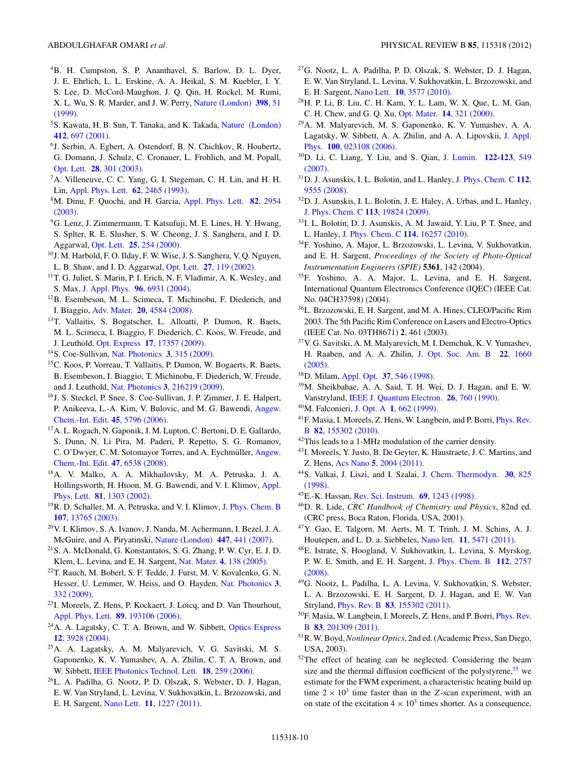- <span id="page-9-0"></span>4B. H. Cumpston, S. P. Ananthavel, S. Barlow, D. L. Dyer, J. E. Ehrlich, L. L. Erskine, A. A. Heikal, S. M. Kuebler, I. Y. S. Lee, D. McCord-Maughon, J. Q. Qin, H. Rockel, M. Rumi, X. L. Wu, S. R. Marder, and J. W. Perry, [Nature \(London\)](http://dx.doi.org/10.1038/17989) **398**, 51 [\(1999\).](http://dx.doi.org/10.1038/17989)
- 5S. Kawata, H. B. Sun, T. Tanaka, and K. Takada, [Nature \(London\)](http://dx.doi.org/10.1038/35089130) **412**[, 697 \(2001\).](http://dx.doi.org/10.1038/35089130)
- 6J. Serbin, A. Egbert, A. Ostendorf, B. N. Chichkov, R. Houbertz, G. Domann, J. Schulz, C. Cronauer, L. Frohlich, and M. Popall, Opt. Lett. **28**[, 301 \(2003\).](http://dx.doi.org/10.1364/OL.28.000301)
- 7A. Villeneuve, C. C. Yang, G. I. Stegeman, C. H. Lin, and H. H. Lin, [Appl. Phys. Lett.](http://dx.doi.org/10.1063/1.109320) **62**, 2465 (1993).
- 8M. Dinu, F. Quochi, and H. Garcia, [Appl. Phys. Lett.](http://dx.doi.org/10.1063/1.1571665) **82**, 2954 [\(2003\).](http://dx.doi.org/10.1063/1.1571665)
- 9G. Lenz, J. Zimmermann, T. Katsufuji, M. E. Lines, H. Y. Hwang, S. Splter, R. E. Slusher, S. W. Cheong, J. S. Sanghera, and I. D. Aggarwal, Opt. Lett. **25**[, 254 \(2000\).](http://dx.doi.org/10.1364/OL.25.000254)
- 10J. M. Harbold, F. O. Ilday, F. W. Wise, J. S. Sanghera, V. Q. Nguyen, L. B. Shaw, and I. D. Aggarwal, Opt. Lett. **27**[, 119 \(2002\).](http://dx.doi.org/10.1364/OL.27.000119)
- <sup>11</sup>T. G. Juliet, S. Marin, P. I. Erich, N. F. Vladimir, A. K. Wesley, and S. Max, J. Appl. Phys. **96**[, 6931 \(2004\).](http://dx.doi.org/10.1063/1.1805182)
- 12B. Esembeson, M. L. Scimeca, T. Michinobu, F. Diederich, and I. Biaggio, Adv. Mater. **20**[, 4584 \(2008\).](http://dx.doi.org/10.1002/adma.200801552)
- 13T. Vallaitis, S. Bogatscher, L. Alloatti, P. Dumon, R. Baets, M. L. Scimeca, I. Biaggio, F. Diederich, C. Koos, W. Freude, and J. Leuthold, Opt. Express **17**[, 17357 \(2009\).](http://dx.doi.org/10.1364/OE.17.017357)
- 14S. Coe-Sullivan, [Nat. Photonics](http://dx.doi.org/10.1038/nphoton.2009.83) **3**, 315 (2009).
- 15C. Koos, P. Vorreau, T. Vallaitis, P. Dumon, W. Bogaerts, R. Baets, B. Esembeson, I. Biaggio, T. Michinobu, F. Diederich, W. Freude, and J. Leuthold, Nat. Photonics **3**[, 216219 \(2009\).](http://dx.doi.org/10.1038/nphoton.2009.25)
- 16J. S. Steckel, P. Snee, S. Coe-Sullivan, J. P. Zimmer, J. E. Halpert, P. Anikeeva, L.-A. Kim, V. Bulovic, and M. G. Bawendi, [Angew.](http://dx.doi.org/10.1002/anie.200600317) [Chem.-Int. Edit.](http://dx.doi.org/10.1002/anie.200600317) **45**, 5796 (2006).
- 17A. L. Rogach, N. Gaponik, J. M. Lupton, C. Bertoni, D. E. Gallardo, S. Dunn, N. Li Pira, M. Paderi, P. Repetto, S. G. Romanov, C. O'Dwyer, C. M. Sotomayor Torres, and A. Eychmüller, [Angew.](http://dx.doi.org/10.1002/anie.200705109) [Chem.-Int. Edit.](http://dx.doi.org/10.1002/anie.200705109) **47**, 6538 (2008).
- 18A. V. Malko, A. A. Mikhailovsky, M. A. Petruska, J. A. Hollingsworth, H. Htoon, M. G. Bawendi, and V. I. Klimov, [Appl.](http://dx.doi.org/10.1063/1.1497708) Phys. Lett. **81**[, 1303 \(2002\).](http://dx.doi.org/10.1063/1.1497708)
- <sup>19</sup>R. D. Schaller, M. A. Petruska, and V. I. Klimov, [J. Phys. Chem. B](http://dx.doi.org/10.1021/jp0311660) **107**[, 13765 \(2003\).](http://dx.doi.org/10.1021/jp0311660)
- 20V. I. Klimov, S. A. Ivanov, J. Nanda, M. Achermann, I. Bezel, J. A. McGuire, and A. Piryatinski, [Nature \(London\)](http://dx.doi.org/10.1038/nature05839) **447**, 441 (2007).
- $21$ S. A. McDonald, G. Konstantatos, S. G. Zhang, P. W. Cyr, E. J. D. Klem, L. Levina, and E. H. Sargent, Nat. Mater. **4**[, 138 \(2005\).](http://dx.doi.org/10.1038/nmat1299)
- 22T. Rauch, M. Boberl, S. F. Tedde, J. Furst, M. V. Kovalenko, G. N. Hesser, U. Lemmer, W. Heiss, and O. Hayden, [Nat. Photonics](http://dx.doi.org/10.1038/nphoton.2009.72) **3**, [332 \(2009\).](http://dx.doi.org/10.1038/nphoton.2009.72)
- 23I. Moreels, Z. Hens, P. Kockaert, J. Loicq, and D. Van Thourhout, [Appl. Phys. Lett.](http://dx.doi.org/10.1063/1.2385658) **89**, 193106 (2006).
- 24A. A. Lagatsky, C. T. A. Brown, and W. Sibbett, [Optics Express](http://dx.doi.org/10.1364/OPEX.12.003928) **12**[, 3928 \(2004\).](http://dx.doi.org/10.1364/OPEX.12.003928)
- 25A. A. Lagatsky, A. M. Malyarevich, V. G. Savitski, M. S. Gaponenko, K. V. Yumashev, A. A. Zhilin, C. T. A. Brown, and W. Sibbett, [IEEE Photonics Technol. Lett.](http://dx.doi.org/10.1109/LPT.2005.861302) **18**, 259 (2006).
- 26L. A. Padilha, G. Nootz, P. D. Olszak, S. Webster, D. J. Hagan, E. W. Van Stryland, L. Levina, V. Sukhovatkin, L. Brzozowski, and E. H. Sargent, Nano Lett. **11**[, 1227 \(2011\).](http://dx.doi.org/10.1021/nl1042209)
- 27G. Nootz, L. A. Padilha, P. D. Olszak, S. Webster, D. J. Hagan, E. W. Van Stryland, L. Levina, V. Sukhovatkin, L. Brzozowski, and E. H. Sargent, Nano Lett. **10**[, 3577 \(2010\).](http://dx.doi.org/10.1021/nl1018673)
- 28H. P. Li, B. Liu, C. H. Kam, Y. L. Lam, W. X. Que, L. M. Gan, C. H. Chew, and G. Q. Xu, Opt. Mater. **14**[, 321 \(2000\).](http://dx.doi.org/10.1016/S0925-3467(00)00003-3)
- 29A. M. Malyarevich, M. S. Gaponenko, K. V. Yumashev, A. A. Lagatsky, W. Sibbett, A. A. Zhilin, and A. A. Lipovskii, [J. Appl.](http://dx.doi.org/10.1063/1.2215353) Phys. **100**[, 023108 \(2006\).](http://dx.doi.org/10.1063/1.2215353)
- 30D. Li, C. Liang, Y. Liu, and S. Qian, [J. Lumin.](http://dx.doi.org/10.1016/j.jlumin.2006.01.214) **122-123**, 549 [\(2007\).](http://dx.doi.org/10.1016/j.jlumin.2006.01.214)
- 31D. J. Asunskis, I. L. Bolotin, and L. Hanley, [J. Phys. Chem. C](http://dx.doi.org/10.1021/jp8037076) **112**, [9555 \(2008\).](http://dx.doi.org/10.1021/jp8037076)
- 32D. J. Asunskis, I. L. Bolotin, J. E. Haley, A. Urbas, and L. Hanley, [J. Phys. Chem. C](http://dx.doi.org/10.1021/jp905646y) **113**, 19824 (2009).
- 33I. L. Bolotin, D. J. Asunskis, A. M. Jawaid, Y. Liu, P. T. Snee, and L. Hanley, [J. Phys. Chem. C](http://dx.doi.org/10.1021/jp105069k) **114**, 16257 (2010).
- 34F. Yoshino, A. Major, L. Brzozowski, L. Levina, V. Sukhovatkin, and E. H. Sargent, *Proceedings of the Society of Photo-Optical Instrumentation Engineers (SPIE)* **5361**, 142 (2004).
- 35F. Yoshino, A. A. Major, L. Levina, and E. H. Sargent, International Quantum Electronics Conference (IQEC) (IEEE Cat. No. 04CH37598) (2004).
- 36L. Brzozowski, E. H. Sargent, and M. A. Hines, CLEO/Pacific Rim 2003. The 5th Pacific Rim Conference on Lasers and Electro-Optics (IEEE Cat. No. 03TH8671) **2**, 461 (2003).
- 37V. G. Savitski, A. M. Malyarevich, M. I. Demchuk, K. V. Yumashev, H. Raaben, and A. A. Zhilin, [J. Opt. Soc. Am. B](http://dx.doi.org/10.1364/JOSAB.22.001660) **22**, 1660 [\(2005\).](http://dx.doi.org/10.1364/JOSAB.22.001660)
- 38D. Milam, Appl. Opt. **37**[, 546 \(1998\).](http://dx.doi.org/10.1364/AO.37.000546)
- 39M. Sheikbahae, A. A. Said, T. H. Wei, D. J. Hagan, and E. W. Vanstryland, [IEEE J. Quantum Electron.](http://dx.doi.org/10.1109/3.53394) **26**, 760 (1990).
- 40M. Falconieri, J. Opt. A **1**[, 662 \(1999\).](http://dx.doi.org/10.1088/1464-4258/1/6/302)
- 41F. Masia, I. Moreels, Z. Hens, W. Langbein, and P. Borri, [Phys. Rev.](http://dx.doi.org/10.1103/PhysRevB.82.155302) B **82**[, 155302 \(2010\).](http://dx.doi.org/10.1103/PhysRevB.82.155302)
- 42This leads to a 1-MHz modulation of the carrier density.
- 43I. Moreels, Y. Justo, B. De Geyter, K. Haustraete, J. C. Martins, and Z. Hens, Acs Nano **5**[, 2004 \(2011\).](http://dx.doi.org/10.1021/nn103050w)
- 44S. Valkai, J. Liszi, and I. Szalai, [J. Chem. Thermodyn.](http://dx.doi.org/10.1006/jcht.1998.0349) **30**, 825 [\(1998\).](http://dx.doi.org/10.1006/jcht.1998.0349)
- 45E.-K. Hassan, [Rev. Sci. Instrum.](http://dx.doi.org/10.1063/1.1148758) **69**, 1243 (1998).
- 46D. R. Lide, *CRC Handbook of Chemistry and Physics*, 82nd ed. (CRC press, Boca Raton, Florida, USA, 2001).
- 47Y. Gao, E. Talgorn, M. Aerts, M. T. Trinh, J. M. Schins, A. J. Houtepen, and L. D. a. Siebbeles, Nano lett. **11**[, 5471 \(2011\).](http://dx.doi.org/10.1021/nl203235u)
- 48E. Istrate, S. Hoogland, V. Sukhovatkin, L. Levina, S. Myrskog, P. W. E. Smith, and E. H. Sargent, [J. Phys. Chem. B](http://dx.doi.org/10.1021/jp076809g) **112**, 2757 [\(2008\).](http://dx.doi.org/10.1021/jp076809g)
- 49G. Nootz, L. Padilha, L. A. Levina, V. Sukhovatkin, S. Webster, L. A. Brzozowski, E. H. Sargent, D. J. Hagan, and E. W. Van Stryland, Phys. Rev. B **83**[, 155302 \(2011\).](http://dx.doi.org/10.1103/PhysRevB.83.155302)
- 50F. Masia, W. Langbein, I. Moreels, Z. Hens, and P. Borri, [Phys. Rev.](http://dx.doi.org/10.1103/PhysRevB.83.201309) B **83**[, 201309 \(2011\).](http://dx.doi.org/10.1103/PhysRevB.83.201309)
- 51R. W. Boyd,*Nonlinear Optics*, 2nd ed. (Academic Press, San Diego, USA, 2003).
- 52The effect of heating can be neglected. Considering the beam size and the thermal diffusion coefficient of the polystyrene,  $55$  we estimate for the FWM experiment, a characteristic heating build up time  $2 \times 10^3$  time faster than in the *Z*-scan experiment, with an on state of the excitation  $4 \times 10^3$  times shorter. As a consequence,